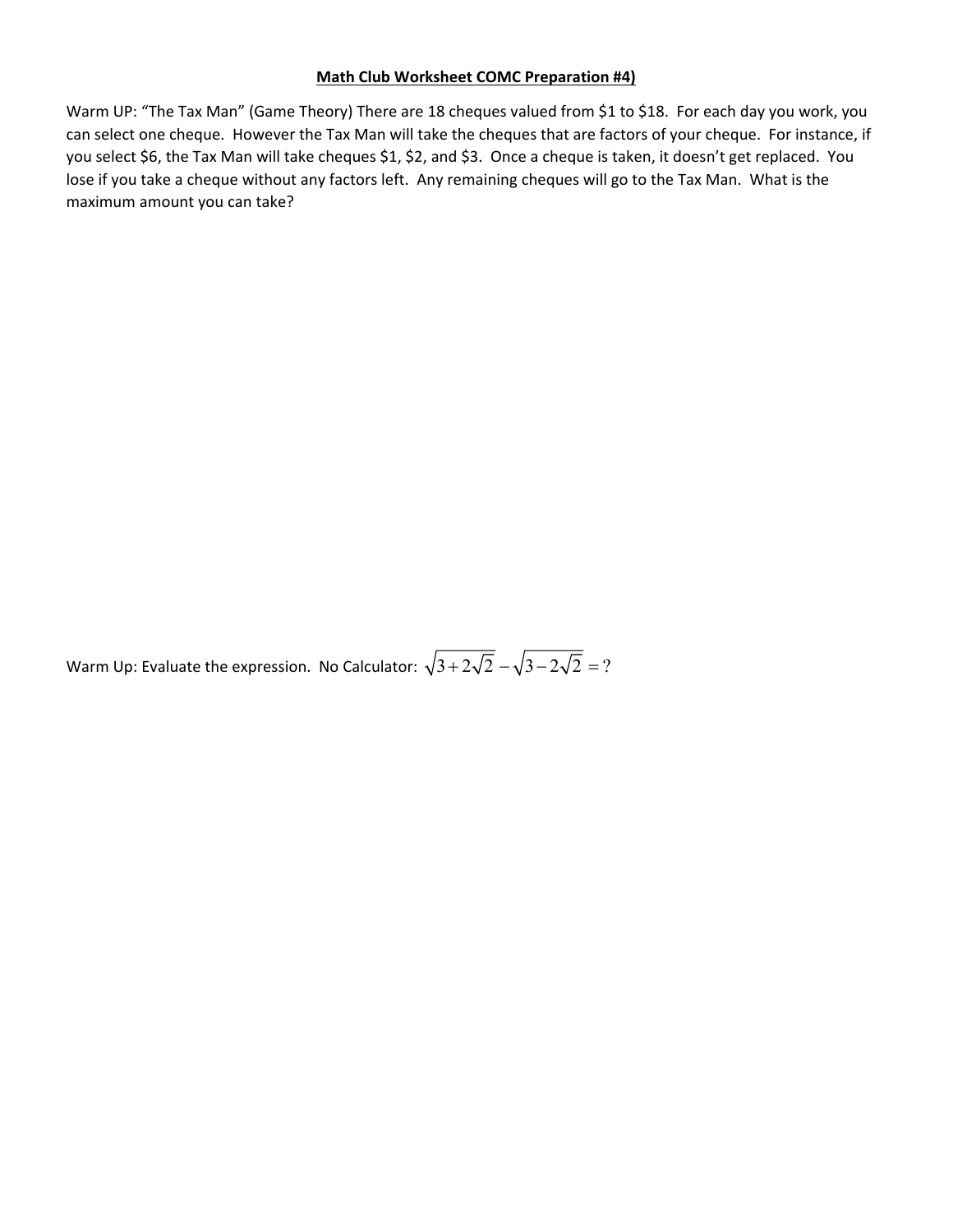## **Math Club Worksheet COMC Preparation #4)**

Warm UP: "The Tax Man" (Game Theory) There are 18 cheques valued from \$1 to \$18. For each day you work, you can select one cheque. However the Tax Man will take the cheques that are factors of your cheque. For instance, if you select \$6, the Tax Man will take cheques \$1, \$2, and \$3. Once a cheque is taken, it doesn't get replaced. You lose if you take a cheque without any factors left. Any remaining cheques will go to the Tax Man. What is the maximum amount you can take?

Warm Up: Evaluate the expression. No Calculator:  $\sqrt{3 + 2\sqrt{2}} - \sqrt{3 - 2\sqrt{2}} = ?$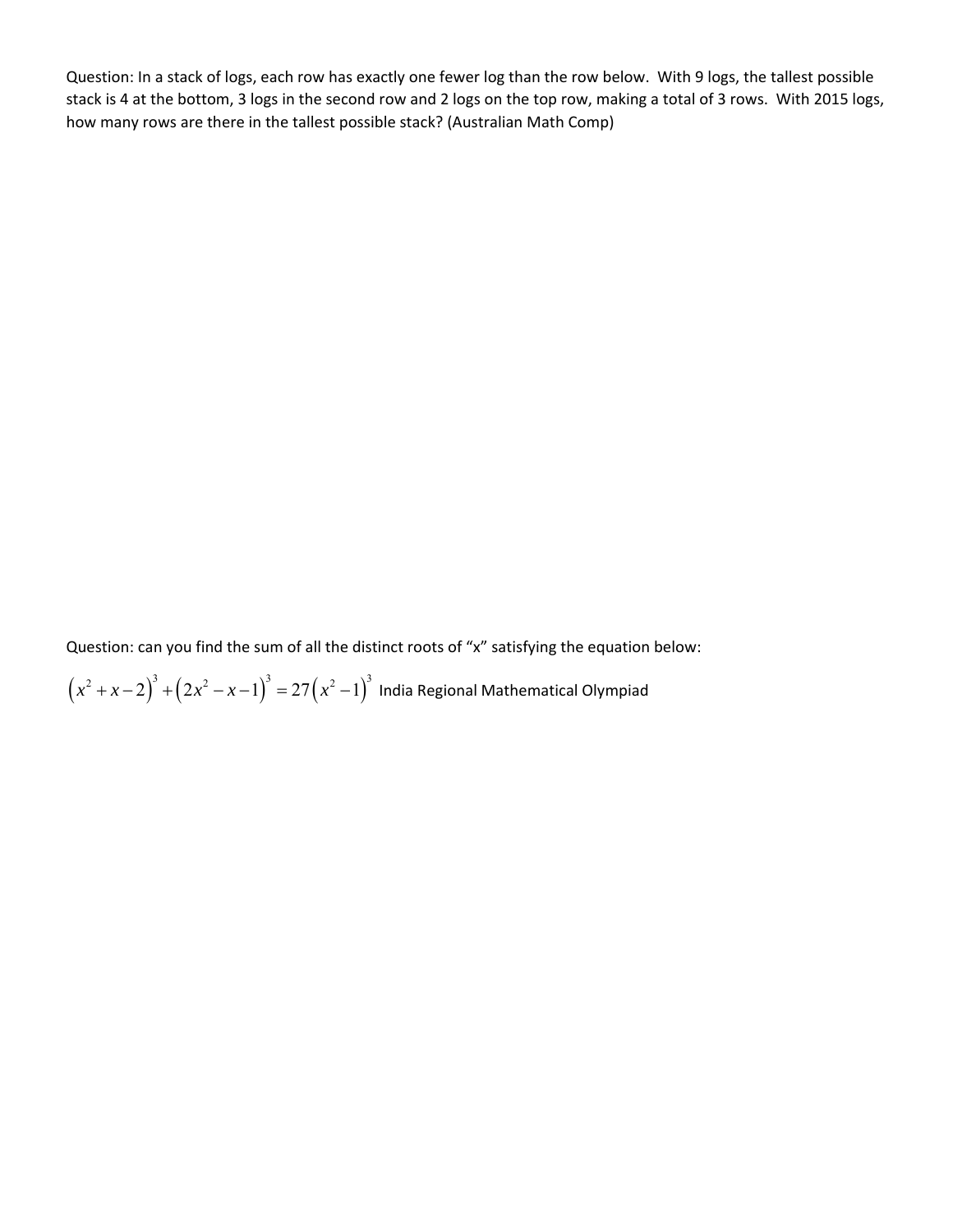Question: In a stack of logs, each row has exactly one fewer log than the row below. With 9 logs, the tallest possible stack is 4 at the bottom, 3 logs in the second row and 2 logs on the top row, making a total of 3 rows. With 2015 logs, how many rows are there in the tallest possible stack? (Australian Math Comp)

Question: can you find the sum of all the distinct roots of "x" satisfying the equation below:

 $\left(x^2+x-2\right)^3+\left(2x^2-x-1\right)^3=27\left(x^2-1\right)^3$  India Regional Mathematical Olympiad